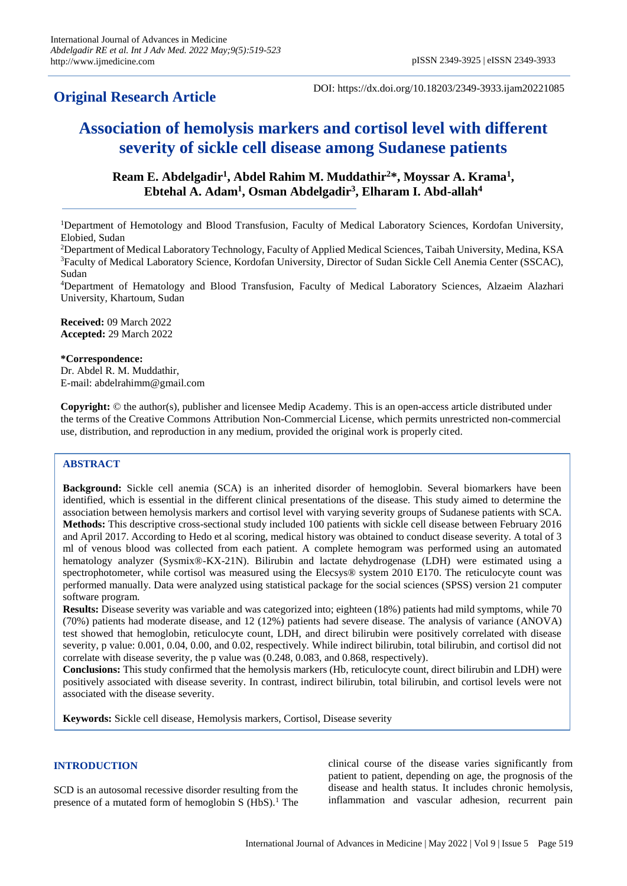# **Original Research Article**

DOI: https://dx.doi.org/10.18203/2349-3933.ijam20221085

# **Association of hemolysis markers and cortisol level with different severity of sickle cell disease among Sudanese patients**

# Ream E. Abdelgadir<sup>1</sup>, Abdel Rahim M. Muddathir<sup>2\*</sup>, Moyssar A. Krama<sup>1</sup>, **Ebtehal A. Adam<sup>1</sup> , Osman Abdelgadir<sup>3</sup> , Elharam I. Abd-allah<sup>4</sup>**

<sup>1</sup>Department of Hemotology and Blood Transfusion, Faculty of Medical Laboratory Sciences, Kordofan University, Elobied, Sudan

<sup>2</sup>Department of Medical Laboratory Technology, Faculty of Applied Medical Sciences, Taibah University, Medina, KSA <sup>3</sup>Faculty of Medical Laboratory Science, Kordofan University, Director of Sudan Sickle Cell Anemia Center (SSCAC), Sudan

<sup>4</sup>Department of Hematology and Blood Transfusion, Faculty of Medical Laboratory Sciences, Alzaeim Alazhari University, Khartoum, Sudan

**Received:** 09 March 2022 **Accepted:** 29 March 2022

### **\*Correspondence:**

Dr. Abdel R. M. Muddathir, E-mail: abdelrahimm@gmail.com

**Copyright:** © the author(s), publisher and licensee Medip Academy. This is an open-access article distributed under the terms of the Creative Commons Attribution Non-Commercial License, which permits unrestricted non-commercial use, distribution, and reproduction in any medium, provided the original work is properly cited.

# **ABSTRACT**

**Background:** Sickle cell anemia (SCA) is an inherited disorder of hemoglobin. Several biomarkers have been identified, which is essential in the different clinical presentations of the disease. This study aimed to determine the association between hemolysis markers and cortisol level with varying severity groups of Sudanese patients with SCA. **Methods:** This descriptive cross-sectional study included 100 patients with sickle cell disease between February 2016 and April 2017. According to Hedo et al scoring, medical history was obtained to conduct disease severity. A total of 3 ml of venous blood was collected from each patient. A complete hemogram was performed using an automated hematology analyzer (Sysmix®-KX-21N). Bilirubin and lactate dehydrogenase (LDH) were estimated using a spectrophotometer, while cortisol was measured using the Elecsys® system 2010 E170. The reticulocyte count was performed manually. Data were analyzed using statistical package for the social sciences (SPSS) version 21 computer software program.

**Results:** Disease severity was variable and was categorized into; eighteen (18%) patients had mild symptoms, while 70 (70%) patients had moderate disease, and 12 (12%) patients had severe disease. The analysis of variance (ANOVA) test showed that hemoglobin, reticulocyte count, LDH, and direct bilirubin were positively correlated with disease severity, p value: 0.001, 0.04, 0.00, and 0.02, respectively. While indirect bilirubin, total bilirubin, and cortisol did not correlate with disease severity, the p value was (0.248, 0.083, and 0.868, respectively).

**Conclusions:** This study confirmed that the hemolysis markers (Hb, reticulocyte count, direct bilirubin and LDH) were positively associated with disease severity. In contrast, indirect bilirubin, total bilirubin, and cortisol levels were not associated with the disease severity.

**Keywords:** Sickle cell disease, Hemolysis markers, Cortisol, Disease severity

## **INTRODUCTION**

SCD is an autosomal recessive disorder resulting from the presence of a mutated form of hemoglobin S  $(HbS)$ .<sup>1</sup> The clinical course of the disease varies significantly from patient to patient, depending on age, the prognosis of the disease and health status. It includes chronic hemolysis, inflammation and vascular adhesion, recurrent pain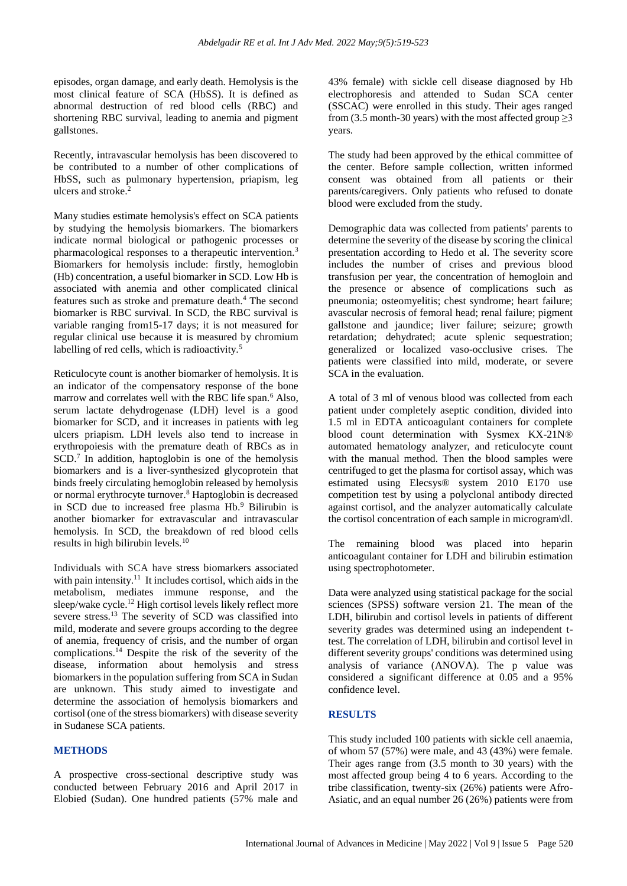episodes, organ damage, and early death. Hemolysis is the most clinical feature of SCA (HbSS). It is defined as abnormal destruction of red blood cells (RBC) and shortening RBC survival, leading to anemia and pigment gallstones.

Recently, intravascular hemolysis has been discovered to be contributed to a number of other complications of HbSS, such as pulmonary hypertension, priapism, leg ulcers and stroke.<sup>2</sup>

Many studies estimate hemolysis's effect on SCA patients by studying the hemolysis biomarkers. The biomarkers indicate normal biological or pathogenic processes or pharmacological responses to a therapeutic intervention.<sup>3</sup> Biomarkers for hemolysis include: firstly, hemoglobin (Hb) concentration, a useful biomarker in SCD. Low Hb is associated with anemia and other complicated clinical features such as stroke and premature death.<sup>4</sup> The second biomarker is RBC survival. In SCD, the RBC survival is variable ranging from15-17 days; it is not measured for regular clinical use because it is measured by chromium labelling of red cells, which is radioactivity.<sup>5</sup>

Reticulocyte count is another biomarker of hemolysis. It is an indicator of the compensatory response of the bone marrow and correlates well with the RBC life span.<sup>6</sup> Also, serum lactate dehydrogenase (LDH) level is a good biomarker for SCD, and it increases in patients with leg ulcers priapism. LDH levels also tend to increase in erythropoiesis with the premature death of RBCs as in SCD.<sup>7</sup> In addition, haptoglobin is one of the hemolysis biomarkers and is a liver-synthesized glycoprotein that binds freely circulating hemoglobin released by hemolysis or normal erythrocyte turnover.<sup>8</sup> Haptoglobin is decreased in SCD due to increased free plasma Hb.<sup>9</sup> Bilirubin is another biomarker for extravascular and intravascular hemolysis. In SCD, the breakdown of red blood cells results in high bilirubin levels.<sup>10</sup>

Individuals with SCA have stress biomarkers associated with pain intensity.<sup>11</sup> It includes cortisol, which aids in the metabolism, mediates immune response, and the sleep/wake cycle.<sup>12</sup> High cortisol levels likely reflect more severe stress.<sup>13</sup> The severity of SCD was classified into mild, moderate and severe groups according to the degree of anemia, frequency of crisis, and the number of organ complications. $^{14}$  Despite the risk of the severity of the disease, information about hemolysis and stress biomarkers in the population suffering from SCA in Sudan are unknown. This study aimed to investigate and determine the association of hemolysis biomarkers and cortisol (one of the stress biomarkers) with disease severity in Sudanese SCA patients.

### **METHODS**

A prospective cross-sectional descriptive study was conducted between February 2016 and April 2017 in Elobied (Sudan). One hundred patients (57% male and 43% female) with sickle cell disease diagnosed by Hb electrophoresis and attended to Sudan SCA center (SSCAC) were enrolled in this study. Their ages ranged from (3.5 month-30 years) with the most affected group  $\geq$ 3 years.

The study had been approved by the ethical committee of the center. Before sample collection, written informed consent was obtained from all patients or their parents/caregivers. Only patients who refused to donate blood were excluded from the study.

Demographic data was collected from patients' parents to determine the severity of the disease by scoring the clinical presentation according to Hedo et al. The severity score includes the number of crises and previous blood transfusion per year, the concentration of hemogloin and the presence or absence of complications such as pneumonia; osteomyelitis; chest syndrome; heart failure; avascular necrosis of femoral head; renal failure; pigment gallstone and jaundice; liver failure; seizure; growth retardation; dehydrated; acute splenic sequestration; generalized or localized vaso-occlusive crises. The patients were classified into mild, moderate, or severe SCA in the evaluation.

A total of 3 ml of venous blood was collected from each patient under completely aseptic condition, divided into 1.5 ml in EDTA anticoagulant containers for complete blood count determination with Sysmex KX-21N® automated hematology analyzer, and reticulocyte count with the manual method. Then the blood samples were centrifuged to get the plasma for cortisol assay, which was estimated using Elecsys® system 2010 E170 use competition test by using a polyclonal antibody directed against cortisol, and the analyzer automatically calculate the cortisol concentration of each sample in microgram\dl.

The remaining blood was placed into heparin anticoagulant container for LDH and bilirubin estimation using spectrophotometer.

Data were analyzed using statistical package for the social sciences (SPSS) software version 21. The mean of the LDH, bilirubin and cortisol levels in patients of different severity grades was determined using an independent ttest. The correlation of LDH, bilirubin and cortisol level in different severity groups' conditions was determined using analysis of variance (ANOVA). The p value was considered a significant difference at 0.05 and a 95% confidence level.

### **RESULTS**

This study included 100 patients with sickle cell anaemia, of whom 57 (57%) were male, and 43 (43%) were female. Their ages range from (3.5 month to 30 years) with the most affected group being 4 to 6 years. According to the tribe classification, twenty-six (26%) patients were Afro-Asiatic, and an equal number 26 (26%) patients were from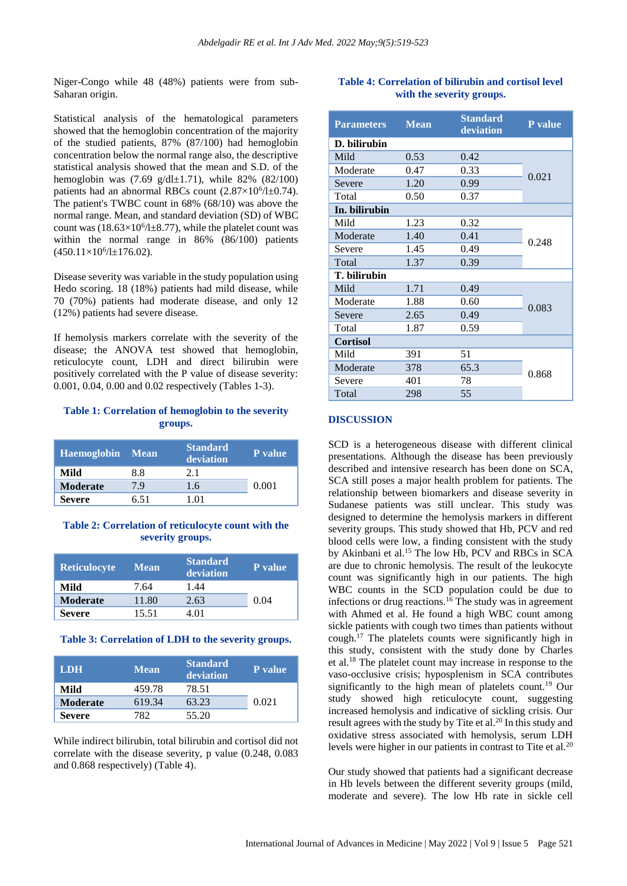Niger-Congo while 48 (48%) patients were from sub-Saharan origin.

Statistical analysis of the hematological parameters showed that the hemoglobin concentration of the majority of the studied patients, 87% (87/100) had hemoglobin concentration below the normal range also, the descriptive statistical analysis showed that the mean and S.D. of the hemoglobin was  $(7.69 \text{ g}/d \text{H} \pm 1.71)$ , while 82%  $(82/100)$ patients had an abnormal RBCs count  $(2.87 \times 10^6 / \text{H}0.74)$ . The patient's TWBC count in 68% (68/10) was above the normal range. Mean, and standard deviation (SD) of WBC count was  $(18.63\times10^{6}/\text{1\textpm}8.77)$ , while the platelet count was within the normal range in 86% (86/100) patients  $(450.11\times10^{6}/\text{Hz}176.02).$ 

Disease severity was variable in the study population using Hedo scoring. 18 (18%) patients had mild disease, while 70 (70%) patients had moderate disease, and only 12 (12%) patients had severe disease.

If hemolysis markers correlate with the severity of the disease; the ANOVA test showed that hemoglobin, reticulocyte count, LDH and direct bilirubin were positively correlated with the P value of disease severity: 0.001, 0.04, 0.00 and 0.02 respectively (Tables 1-3).

## **Table 1: Correlation of hemoglobin to the severity groups.**

| <b>Haemoglobin</b> | ∣ Mean | <b>Standard</b><br>deviation | <b>P</b> value |
|--------------------|--------|------------------------------|----------------|
| Mild               | 8.8    | 2.1                          |                |
| <b>Moderate</b>    | 79     | 1.6                          | 0.001          |
| <b>Severe</b>      | ճ 51   | 1 ດ1                         |                |

#### **Table 2: Correlation of reticulocyte count with the severity groups.**

| <b>Reticulocyte</b> | <b>Mean</b> | <b>Standard</b><br>deviation | <b>P</b> value |
|---------------------|-------------|------------------------------|----------------|
| Mild                | 7.64        | 1.44                         |                |
| <b>Moderate</b>     | 11.80       | 2.63                         | 0.04           |
| <b>Severe</b>       | 15.51       | 4 O 1                        |                |

#### **Table 3: Correlation of LDH to the severity groups.**

| <b>LDH</b>      | <b>Mean</b> | <b>Standard</b><br>deviation | <b>P</b> value |
|-----------------|-------------|------------------------------|----------------|
| Mild            | 459.78      | 78.51                        |                |
| <b>Moderate</b> | 619.34      | 63.23                        | 0.021          |
| <b>Severe</b>   | 782.        | 55.20                        |                |

While indirect bilirubin, total bilirubin and cortisol did not correlate with the disease severity, p value (0.248, 0.083 and 0.868 respectively) (Table 4).

# **Table 4: Correlation of bilirubin and cortisol level with the severity groups.**

| <b>Parameters</b> | <b>Mean</b> | <b>Standard</b><br>deviation | P value |
|-------------------|-------------|------------------------------|---------|
| D. bilirubin      |             |                              |         |
| Mild              | 0.53        | 0.42                         | 0.021   |
| Moderate          | 0.47        | 0.33                         |         |
| Severe            | 1.20        | 0.99                         |         |
| Total             | 0.50        | 0.37                         |         |
| In. bilirubin     |             |                              |         |
| Mild              | 1.23        | 0.32                         | 0.248   |
| Moderate          | 1.40        | 0.41                         |         |
| Severe            | 1.45        | 0.49                         |         |
| Total             | 1.37        | 0.39                         |         |
| T. bilirubin      |             |                              |         |
| Mild              | 1.71        | 0.49                         | 0.083   |
| Moderate          | 1.88        | 0.60                         |         |
| Severe            | 2.65        | 0.49                         |         |
| Total             | 1.87        | 0.59                         |         |
| <b>Cortisol</b>   |             |                              |         |
| Mild              | 391         | 51                           | 0.868   |
| Moderate          | 378         | 65.3                         |         |
| Severe            | 401         | 78                           |         |
| Total             | 298         | 55                           |         |

#### **DISCUSSION**

SCD is a heterogeneous disease with different clinical presentations. Although the disease has been previously described and intensive research has been done on SCA, SCA still poses a major health problem for patients. The relationship between biomarkers and disease severity in Sudanese patients was still unclear. This study was designed to determine the hemolysis markers in different severity groups. This study showed that Hb, PCV and red blood cells were low, a finding consistent with the study by Akinbani et al.<sup>15</sup> The low Hb, PCV and RBCs in SCA are due to chronic hemolysis. The result of the leukocyte count was significantly high in our patients. The high WBC counts in the SCD population could be due to infections or drug reactions.<sup>16</sup> The study was in agreement with Ahmed et al. He found a high WBC count among sickle patients with cough two times than patients without cough.<sup>17</sup> The platelets counts were significantly high in this study, consistent with the study done by Charles et al.<sup>18</sup> The platelet count may increase in response to the vaso-occlusive crisis; hyposplenism in SCA contributes significantly to the high mean of platelets count.<sup>19</sup> Our study showed high reticulocyte count, suggesting increased hemolysis and indicative of sickling crisis. Our result agrees with the study by Tite et al.<sup>20</sup> In this study and oxidative stress associated with hemolysis, serum LDH levels were higher in our patients in contrast to Tite et al.<sup>20</sup>

Our study showed that patients had a significant decrease in Hb levels between the different severity groups (mild, moderate and severe). The low Hb rate in sickle cell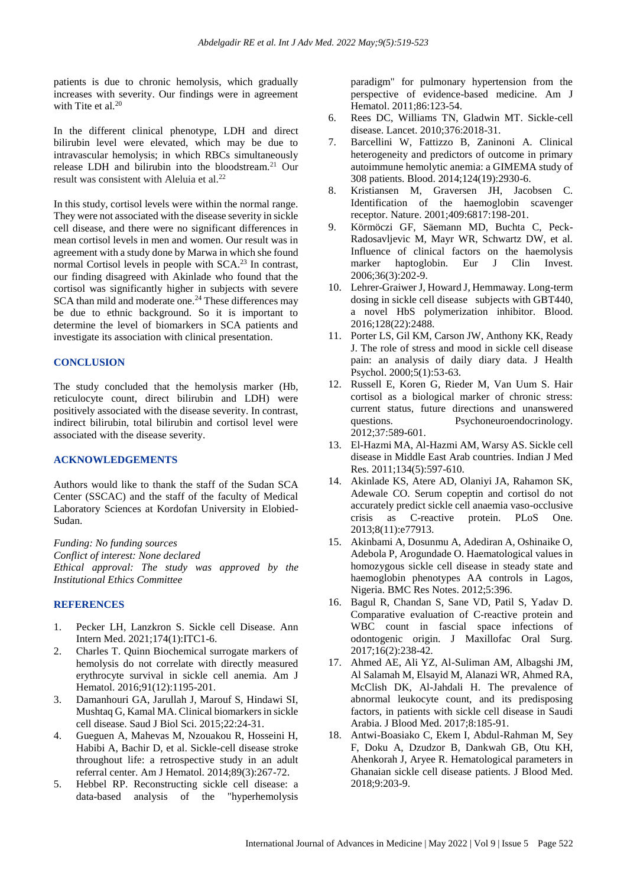patients is due to chronic hemolysis, which gradually increases with severity. Our findings were in agreement with Tite et al.<sup>20</sup>

In the different clinical phenotype, LDH and direct bilirubin level were elevated, which may be due to intravascular hemolysis; in which RBCs simultaneously release LDH and bilirubin into the bloodstream.<sup>21</sup> Our result was consistent with Aleluia et al.<sup>22</sup>

In this study, cortisol levels were within the normal range. They were not associated with the disease severity in sickle cell disease, and there were no significant differences in mean cortisol levels in men and women. Our result was in agreement with a study done by Marwa in which she found normal Cortisol levels in people with SCA. <sup>23</sup> In contrast, our finding disagreed with Akinlade who found that the cortisol was significantly higher in subjects with severe SCA than mild and moderate one.<sup>24</sup> These differences may be due to ethnic background. So it is important to determine the level of biomarkers in SCA patients and investigate its association with clinical presentation.

### **CONCLUSION**

The study concluded that the hemolysis marker (Hb, reticulocyte count, direct bilirubin and LDH) were positively associated with the disease severity. In contrast, indirect bilirubin, total bilirubin and cortisol level were associated with the disease severity.

#### **ACKNOWLEDGEMENTS**

Authors would like to thank the staff of the Sudan SCA Center (SSCAC) and the staff of the faculty of Medical Laboratory Sciences at Kordofan University in Elobied-Sudan.

*Funding: No funding sources Conflict of interest: None declared Ethical approval: The study was approved by the Institutional Ethics Committee*

#### **REFERENCES**

- 1. Pecker LH, Lanzkron S. Sickle cell Disease. Ann Intern Med. 2021;174(1):ITC1-6.
- 2. Charles T. Quinn Biochemical surrogate markers of hemolysis do not correlate with directly measured erythrocyte survival in sickle cell anemia. Am J Hematol. 2016;91(12):1195-201.
- 3. Damanhouri GA, Jarullah J, Marouf S, Hindawi SI, Mushtaq G, Kamal MA. Clinical biomarkers in sickle cell disease. Saud J Biol Sci. 2015;22:24-31.
- 4. Gueguen A, Mahevas M, Nzouakou R, Hosseini H, Habibi A, Bachir D, et al. Sickle-cell disease stroke throughout life: a retrospective study in an adult referral center. Am J Hematol. 2014;89(3):267-72.
- 5. Hebbel RP. Reconstructing sickle cell disease: a data-based analysis of the "hyperhemolysis

paradigm" for pulmonary hypertension from the perspective of evidence-based medicine. Am J Hematol. 2011;86:123-54.

- 6. Rees DC, Williams TN, Gladwin MT. Sickle-cell disease. Lancet. 2010;376:2018-31.
- 7. Barcellini W, Fattizzo B, Zaninoni A. Clinical heterogeneity and predictors of outcome in primary autoimmune hemolytic anemia: a GIMEMA study of 308 patients. Blood. 2014;124(19):2930-6.
- 8. Kristiansen M, Graversen JH, Jacobsen C. Identification of the haemoglobin scavenger receptor. Nature. 2001;409:6817:198-201.
- 9. Körmöczi GF, Säemann MD, Buchta C, Peck-Radosavljevic M, Mayr WR, Schwartz DW, et al. Influence of clinical factors on the haemolysis marker haptoglobin. Eur J Clin Invest. 2006;36(3):202-9.
- 10. Lehrer-Graiwer J, Howard J, Hemmaway. Long-term dosing in sickle cell disease subjects with GBT440, a novel HbS polymerization inhibitor. Blood. 2016;128(22):2488.
- 11. Porter LS, Gil KM, Carson JW, Anthony KK, Ready J. The role of stress and mood in sickle cell disease pain: an analysis of daily diary data. J Health Psychol. 2000;5(1):53-63.
- 12. Russell E, Koren G, Rieder M, Van Uum S. Hair cortisol as a biological marker of chronic stress: current status, future directions and unanswered questions. Psychoneuroendocrinology. 2012;37:589-601.
- 13. El-Hazmi MA, Al-Hazmi AM, Warsy AS. Sickle cell disease in Middle East Arab countries. Indian J Med Res. 2011;134(5):597-610.
- 14. Akinlade KS, Atere AD, Olaniyi JA, Rahamon SK, Adewale CO. Serum copeptin and cortisol do not accurately predict sickle cell anaemia vaso-occlusive crisis as C-reactive protein. PLoS One. 2013;8(11):e77913.
- 15. Akinbami A, Dosunmu A, Adediran A, Oshinaike O, Adebola P, Arogundade O. Haematological values in homozygous sickle cell disease in steady state and haemoglobin phenotypes AA controls in Lagos, Nigeria. BMC Res Notes. 2012;5:396.
- 16. Bagul R, Chandan S, Sane VD, Patil S, Yadav D. Comparative evaluation of C-reactive protein and WBC count in fascial space infections of odontogenic origin. J Maxillofac Oral Surg. 2017;16(2):238-42.
- 17. Ahmed AE, Ali YZ, Al-Suliman AM, Albagshi JM, Al Salamah M, Elsayid M, Alanazi WR, Ahmed RA, McClish DK, Al-Jahdali H. The prevalence of abnormal leukocyte count, and its predisposing factors, in patients with sickle cell disease in Saudi Arabia. J Blood Med. 2017;8:185-91.
- 18. Antwi-Boasiako C, Ekem I, Abdul-Rahman M, Sey F, Doku A, Dzudzor B, Dankwah GB, Otu KH, Ahenkorah J, Aryee R. Hematological parameters in Ghanaian sickle cell disease patients. J Blood Med. 2018;9:203-9.